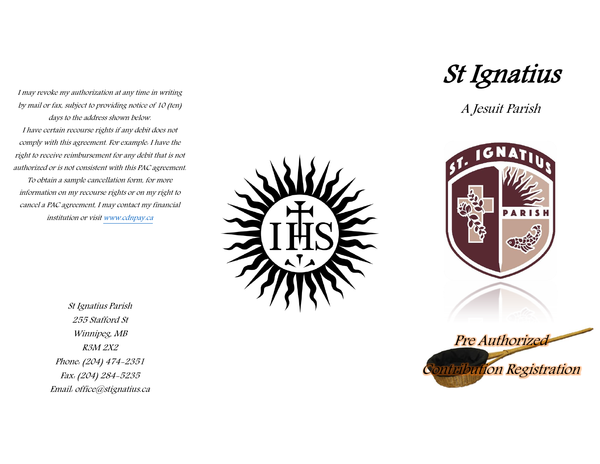I may revoke my authorization at any time in writing by mail or fax, subject to providing notice of 10 (ten) days to the address shown below. I have certain recourse rights if any debit does not comply with this agreement. For example: I have the right to receive reimbursement for any debit that is not authorized or is not consistent with this PAC agreement. To obtain a sample cancellation form, for more information on my recourse rights or on my right to cancel a PAC agreement, I may contact my financial institution or visi[t www.cdnpay.ca](http://www.cdnpay.ca/)

> St Ignatius Parish 255 Stafford St Winnipeg, MB R3M 2X2 Phone: (204) 474-2351 Fax: (204) 284-5235 Email: office@stignatius.ca



St Ignatius

A Jesuit Parish



Contribution Registration